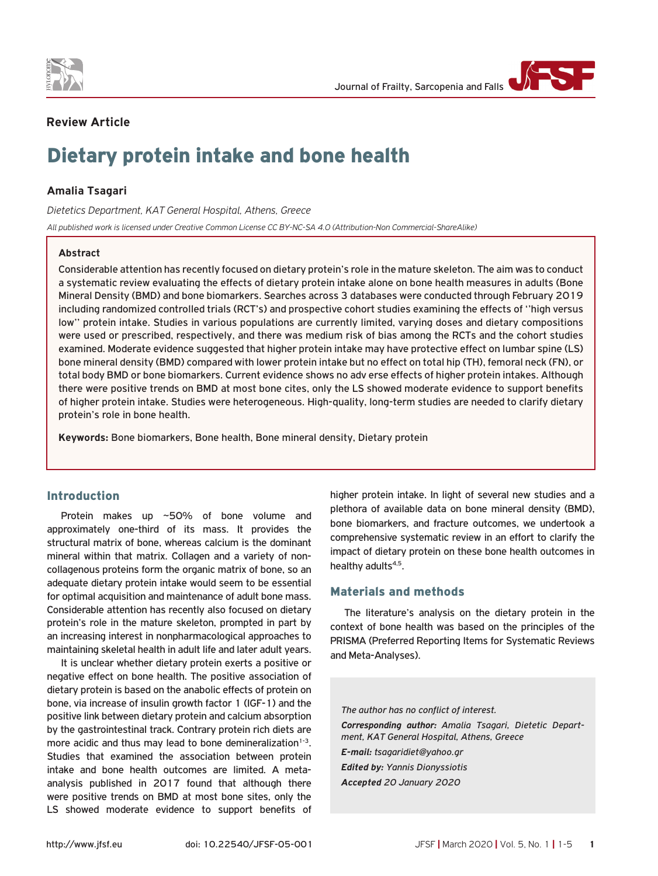



# **Review Article**

# Dietary protein intake and bone health

# **Amalia Tsagari**

*Dietetics Department, KAT General Hospital, Athens, Greece*

*All published work is licensed under Creative Common License CC BY-NC-SA 4.0 (Attribution-Non Commercial-ShareAlike)*

## **Abstract**

Considerable attention has recently focused on dietary protein's role in the mature skeleton. The aim was to conduct a systematic review evaluating the effects of dietary protein intake alone on bone health measures in adults (Bone Mineral Density (BMD) and bone biomarkers. Searches across 3 databases were conducted through February 2019 including randomized controlled trials (RCT's) and prospective cohort studies examining the effects of ''high versus low'' protein intake. Studies in various populations are currently limited, varying doses and dietary compositions were used or prescribed, respectively, and there was medium risk of bias among the RCTs and the cohort studies examined. Moderate evidence suggested that higher protein intake may have protective effect on lumbar spine (LS) bone mineral density (BMD) compared with lower protein intake but no effect on total hip (TH), femoral neck (FN), or total body BMD or bone biomarkers. Current evidence shows no adv erse effects of higher protein intakes. Although there were positive trends on BMD at most bone cites, only the LS showed moderate evidence to support benefits of higher protein intake. Studies were heterogeneous. High-quality, long-term studies are needed to clarify dietary protein's role in bone health.

**Keywords:** Bone biomarkers, Bone health, Bone mineral density, Dietary protein

## Introduction

Protein makes up ~50% of bone volume and approximately one-third of its mass. It provides the structural matrix of bone, whereas calcium is the dominant mineral within that matrix. Collagen and a variety of noncollagenous proteins form the organic matrix of bone, so an adequate dietary protein intake would seem to be essential for optimal acquisition and maintenance of adult bone mass. Considerable attention has recently also focused on dietary protein's role in the mature skeleton, prompted in part by an increasing interest in nonpharmacological approaches to maintaining skeletal health in adult life and later adult years.

It is unclear whether dietary protein exerts a positive or negative effect on bone health. The positive association of dietary protein is based on the anabolic effects of protein on bone, via increase of insulin growth factor 1 (IGF-1) and the positive link between dietary protein and calcium absorption by the gastrointestinal track. Contrary protein rich diets are more acidic and thus may lead to bone demineralization $1-3$ . Studies that examined the association between protein intake and bone health outcomes are limited. A metaanalysis published in 2017 found that although there were positive trends on BMD at most bone sites, only the LS showed moderate evidence to support benefits of higher protein intake. In light of several new studies and a plethora of available data on bone mineral density (BMD), bone biomarkers, and fracture outcomes, we undertook a comprehensive systematic review in an effort to clarify the impact of dietary protein on these bone health outcomes in healthy adults<sup>4,5</sup>.

## Materials and methods

The literature's analysis on the dietary protein in the context of bone health was based on the principles of the PRISMA (Preferred Reporting Items for Systematic Reviews and Meta-Analyses).

*The author has no conflict of interest. Corresponding author: Amalia Tsagari, Dietetic Department, KAT General Hospital, Athens, Greece E-mail: tsagaridiet@yahoo.gr Edited by: Yannis Dionyssiotis Accepted 20 January 2020*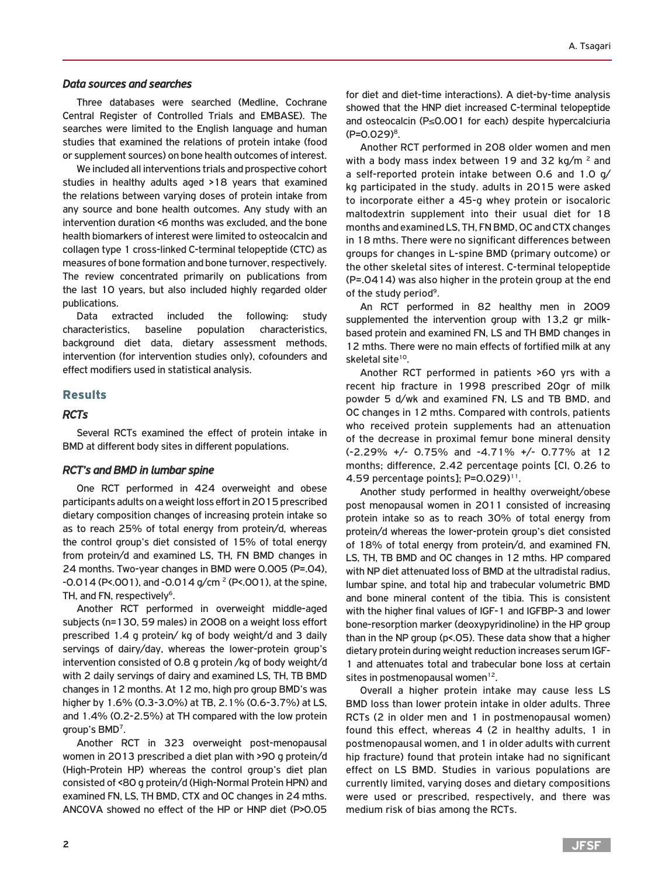#### *Data sources and searches*

Three databases were searched (Medline, Cochrane Central Register of Controlled Trials and EMBASE). The searches were limited to the English language and human studies that examined the relations of protein intake (food or supplement sources) on bone health outcomes of interest.

We included all interventions trials and prospective cohort studies in healthy adults aged >18 years that examined the relations between varying doses of protein intake from any source and bone health outcomes. Any study with an intervention duration <6 months was excluded, and the bone health biomarkers of interest were limited to osteocalcin and collagen type 1 cross-linked C-terminal telopeptide (CTC) as measures of bone formation and bone turnover, respectively. The review concentrated primarily on publications from the last 10 years, but also included highly regarded older publications.

Data extracted included the following: study characteristics, baseline population characteristics, background diet data, dietary assessment methods, intervention (for intervention studies only), cofounders and effect modifiers used in statistical analysis.

#### Results

#### *RCTs*

Several RCTs examined the effect of protein intake in BMD at different body sites in different populations.

#### *RCT's and BMD in lumbar spine*

One RCT performed in 424 overweight and obese participants adults on a weight loss effort in 2015 prescribed dietary composition changes of increasing protein intake so as to reach 25% of total energy from protein/d, whereas the control group's diet consisted of 15% of total energy from protein/d and examined LS, TH, FN BMD changes in 24 months. Two-year changes in BMD were 0.005 (P=.04),  $-0.014$  (P<.001), and  $-0.014$  g/cm<sup>2</sup> (P<.001), at the spine, TH, and FN, respectively<sup>6</sup>.

Another RCT performed in overweight middle-aged subjects (n=130, 59 males) in 2008 on a weight loss effort prescribed 1.4 g protein/ kg of body weight/d and 3 daily servings of dairy/day, whereas the lower-protein group's intervention consisted of 0.8 g protein /kg of body weight/d with 2 daily servings of dairy and examined LS, TH, TB BMD changes in 12 months. At 12 mo, high pro group BMD's was higher by 1.6% (0.3-3.0%) at TB, 2.1% (0.6-3.7%) at LS, and 1.4% (0.2-2.5%) at TH compared with the low protein group's BMD7.

Another RCT in 323 overweight post-menopausal women in 2013 prescribed a diet plan with >90 g protein/d (High-Protein HP) whereas the control group's diet plan consisted of <80 g protein/d (High-Normal Protein HPN) and examined FN, LS, TH BMD, CTX and OC changes in 24 mths. ANCOVA showed no effect of the HP or HNP diet (P>0.05

for diet and diet-time interactions). A diet-by-time analysis showed that the HNP diet increased C-terminal telopeptide and osteocalcin (P≤0.001 for each) despite hypercalciuria (P=0.029)8.

Another RCT performed in 208 older women and men with a body mass index between 19 and 32 kg/m  $^2$  and a self-reported protein intake between 0.6 and 1.0 g/ kg participated in the study. adults in 2015 were asked to incorporate either a 45-g whey protein or isocaloric maltodextrin supplement into their usual diet for 18 months and examined LS, TH, FN BMD, OC and CTX changes in 18 mths. There were no significant differences between groups for changes in L-spine BMD (primary outcome) or the other skeletal sites of interest. C-terminal telopeptide (P=.0414) was also higher in the protein group at the end of the study period<sup>9</sup>.

An RCT performed in 82 healthy men in 2009 supplemented the intervention group with 13,2 gr milkbased protein and examined FN, LS and TH BMD changes in 12 mths. There were no main effects of fortified milk at any skeletal site<sup>10</sup>.

Another RCT performed in patients >60 yrs with a recent hip fracture in 1998 prescribed 20gr of milk powder 5 d/wk and examined FN, LS and TB BMD, and OC changes in 12 mths. Compared with controls, patients who received protein supplements had an attenuation of the decrease in proximal femur bone mineral density (-2.29% +/- 0.75% and -4.71% +/- 0.77% at 12 months; difference, 2.42 percentage points [CI, 0.26 to 4.59 percentage points];  $P=0.029$ <sup>11</sup>.

Another study performed in healthy overweight/obese post menopausal women in 2011 consisted of increasing protein intake so as to reach 30% of total energy from protein/d whereas the lower-protein group's diet consisted of 18% of total energy from protein/d, and examined FN, LS, TH, TB BMD and OC changes in 12 mths. HP compared with NP diet attenuated loss of BMD at the ultradistal radius, lumbar spine, and total hip and trabecular volumetric BMD and bone mineral content of the tibia. This is consistent with the higher final values of IGF-1 and IGFBP-3 and lower bone-resorption marker (deoxypyridinoline) in the HP group than in the NP group (p<.05). These data show that a higher dietary protein during weight reduction increases serum IGF-1 and attenuates total and trabecular bone loss at certain sites in postmenopausal women<sup>12</sup>.

Overall a higher protein intake may cause less LS BMD loss than lower protein intake in older adults. Three RCTs (2 in older men and 1 in postmenopausal women) found this effect, whereas 4 (2 in healthy adults, 1 in postmenopausal women, and 1 in older adults with current hip fracture) found that protein intake had no significant effect on LS BMD. Studies in various populations are currently limited, varying doses and dietary compositions were used or prescribed, respectively, and there was medium risk of bias among the RCTs.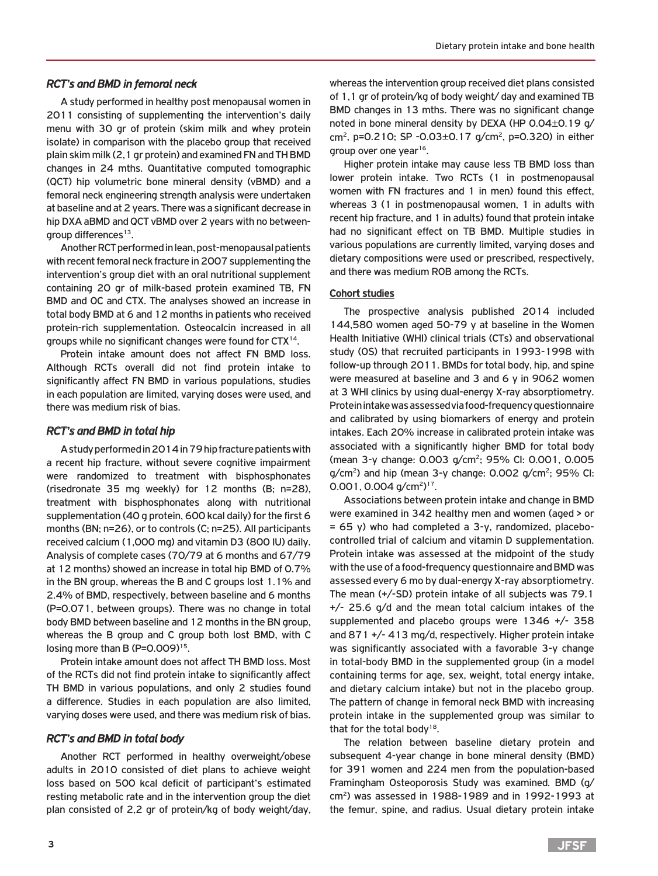#### *RCT's and BMD in femoral neck*

A study performed in healthy post menopausal women in 2011 consisting of supplementing the intervention's daily menu with 30 gr of protein (skim milk and whey protein isolate) in comparison with the placebo group that received plain skim milk (2,1 gr protein) and examined FN and TH BMD changes in 24 mths. Quantitative computed tomographic (QCT) hip volumetric bone mineral density (vBMD) and a femoral neck engineering strength analysis were undertaken at baseline and at 2 years. There was a significant decrease in hip DXA aBMD and QCT vBMD over 2 years with no betweengroup differences $13$ .

Another RCT performed in lean, post-menopausal patients with recent femoral neck fracture in 2007 supplementing the intervention's group diet with an oral nutritional supplement containing 20 gr of milk-based protein examined TB, FN BMD and OC and CTX. The analyses showed an increase in total body BMD at 6 and 12 months in patients who received protein-rich supplementation. Osteocalcin increased in all groups while no significant changes were found for CTX14.

Protein intake amount does not affect FN BMD loss. Although RCTs overall did not find protein intake to significantly affect FN BMD in various populations, studies in each population are limited, varying doses were used, and there was medium risk of bias.

#### *RCT's and BMD in total hip*

A study performed in 2014 in 79 hip fracture patients with a recent hip fracture, without severe cognitive impairment were randomized to treatment with bisphosphonates (risedronate 35 mg weekly) for 12 months (B; n=28), treatment with bisphosphonates along with nutritional supplementation (40 g protein, 600 kcal daily) for the first 6 months (BN; n=26), or to controls (C; n=25). All participants received calcium (1,000 mg) and vitamin D3 (800 IU) daily. Analysis of complete cases (70/79 at 6 months and 67/79 at 12 months) showed an increase in total hip BMD of 0.7% in the BN group, whereas the B and C groups lost 1.1% and 2.4% of BMD, respectively, between baseline and 6 months (P=0.071, between groups). There was no change in total body BMD between baseline and 12 months in the BN group, whereas the B group and C group both lost BMD, with C losing more than B (P=0.009)<sup>15</sup>.

Protein intake amount does not affect TH BMD loss. Most of the RCTs did not find protein intake to significantly affect TH BMD in various populations, and only 2 studies found a difference. Studies in each population are also limited, varying doses were used, and there was medium risk of bias.

#### *RCT's and BMD in total body*

Another RCT performed in healthy overweight/obese adults in 2010 consisted of diet plans to achieve weight loss based on 500 kcal deficit of participant's estimated resting metabolic rate and in the intervention group the diet plan consisted of 2,2 gr of protein/kg of body weight/day, whereas the intervention group received diet plans consisted of 1,1 gr of protein/kg of body weight/ day and examined TB BMD changes in 13 mths. There was no significant change noted in bone mineral density by DEXA (HP 0.04±0.19 g/ cm<sup>2</sup>, p=0.210; SP -0.03 $\pm$ 0.17 g/cm<sup>2</sup>, p=0.320) in either group over one year<sup>16</sup>.

Higher protein intake may cause less TB BMD loss than lower protein intake. Two RCTs (1 in postmenopausal women with FN fractures and 1 in men) found this effect, whereas 3 (1 in postmenopausal women, 1 in adults with recent hip fracture, and 1 in adults) found that protein intake had no significant effect on TB BMD. Multiple studies in various populations are currently limited, varying doses and dietary compositions were used or prescribed, respectively, and there was medium ROB among the RCTs.

### Cohort studies

The prospective analysis published 2014 included 144,580 women aged 50-79 y at baseline in the Women Health Initiative (WHI) clinical trials (CTs) and observational study (OS) that recruited participants in 1993-1998 with follow-up through 2011. BMDs for total body, hip, and spine were measured at baseline and 3 and 6 y in 9062 women at 3 WHI clinics by using dual-energy X-ray absorptiometry. Protein intake was assessed via food-frequency questionnaire and calibrated by using biomarkers of energy and protein intakes. Each 20% increase in calibrated protein intake was associated with a significantly higher BMD for total body (mean 3-y change: 0.003 g/cm2; 95% CI: 0.001, 0.005  $q/cm^2$ ) and hip (mean 3-y change: 0.002  $q/cm^2$ ; 95% CI:  $0.001$ ,  $0.004$  g/cm<sup>2</sup>)<sup>17</sup>.

Associations between protein intake and change in BMD were examined in 342 healthy men and women (aged > or  $= 65$  y) who had completed a 3-y, randomized, placebocontrolled trial of calcium and vitamin D supplementation. Protein intake was assessed at the midpoint of the study with the use of a food-frequency questionnaire and BMD was assessed every 6 mo by dual-energy X-ray absorptiometry. The mean (+/-SD) protein intake of all subjects was 79.1 +/- 25.6 g/d and the mean total calcium intakes of the supplemented and placebo groups were 1346 +/- 358 and 871 +/- 413 mg/d, respectively. Higher protein intake was significantly associated with a favorable 3-y change in total-body BMD in the supplemented group (in a model containing terms for age, sex, weight, total energy intake, and dietary calcium intake) but not in the placebo group. The pattern of change in femoral neck BMD with increasing protein intake in the supplemented group was similar to that for the total body<sup>18</sup>.

The relation between baseline dietary protein and subsequent 4-year change in bone mineral density (BMD) for 391 women and 224 men from the population-based Framingham Osteoporosis Study was examined. BMD (g/  $cm<sup>2</sup>$ ) was assessed in 1988-1989 and in 1992-1993 at the femur, spine, and radius. Usual dietary protein intake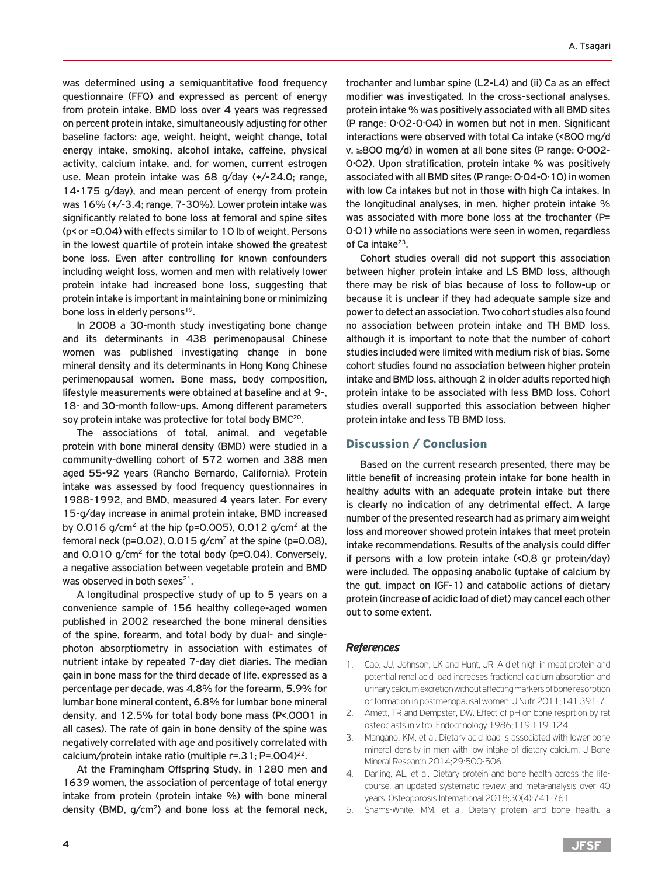was determined using a semiquantitative food frequency questionnaire (FFQ) and expressed as percent of energy from protein intake. BMD loss over 4 years was regressed on percent protein intake, simultaneously adjusting for other baseline factors: age, weight, height, weight change, total energy intake, smoking, alcohol intake, caffeine, physical activity, calcium intake, and, for women, current estrogen use. Mean protein intake was 68 g/day (+/-24.0; range, 14-175 g/day), and mean percent of energy from protein was 16% (+/-3.4; range, 7-30%). Lower protein intake was significantly related to bone loss at femoral and spine sites (p< or =0.04) with effects similar to 10 lb of weight. Persons in the lowest quartile of protein intake showed the greatest bone loss. Even after controlling for known confounders including weight loss, women and men with relatively lower protein intake had increased bone loss, suggesting that protein intake is important in maintaining bone or minimizing bone loss in elderly persons<sup>19</sup>.

In 2008 a 30-month study investigating bone change and its determinants in 438 perimenopausal Chinese women was published investigating change in bone mineral density and its determinants in Hong Kong Chinese perimenopausal women. Bone mass, body composition, lifestyle measurements were obtained at baseline and at 9-, 18- and 30-month follow-ups. Among different parameters soy protein intake was protective for total body BMC<sup>20</sup>.

The associations of total, animal, and vegetable protein with bone mineral density (BMD) were studied in a community-dwelling cohort of 572 women and 388 men aged 55-92 years (Rancho Bernardo, California). Protein intake was assessed by food frequency questionnaires in 1988-1992, and BMD, measured 4 years later. For every 15-g/day increase in animal protein intake, BMD increased by 0.016 g/cm<sup>2</sup> at the hip (p=0.005), 0.012 g/cm<sup>2</sup> at the femoral neck (p=0.02), 0.015  $g/cm^2$  at the spine (p=0.08), and  $0.010$  g/cm<sup>2</sup> for the total body ( $p=0.04$ ). Conversely, a negative association between vegetable protein and BMD was observed in both sexes<sup>21</sup>.

A longitudinal prospective study of up to 5 years on a convenience sample of 156 healthy college-aged women published in 2002 researched the bone mineral densities of the spine, forearm, and total body by dual- and singlephoton absorptiometry in association with estimates of nutrient intake by repeated 7-day diet diaries. The median gain in bone mass for the third decade of life, expressed as a percentage per decade, was 4.8% for the forearm, 5.9% for lumbar bone mineral content, 6.8% for lumbar bone mineral density, and 12.5% for total body bone mass (P<.0001 in all cases). The rate of gain in bone density of the spine was negatively correlated with age and positively correlated with calcium/protein intake ratio (multiple  $r=.31; P=.004$ )<sup>22</sup>.

At the Framingham Offspring Study, in 1280 men and 1639 women, the association of percentage of total energy intake from protein (protein intake %) with bone mineral density (BMD,  $q/cm^2$ ) and bone loss at the femoral neck,

trochanter and lumbar spine (L2-L4) and (ii) Ca as an effect modifier was investigated. In the cross-sectional analyses, protein intake % was positively associated with all BMD sites (P range: 0·02-0·04) in women but not in men. Significant interactions were observed with total Ca intake (<800 mg/d v. ≥800 mg/d) in women at all bone sites (P range: 0·002- 0·02). Upon stratification, protein intake % was positively associated with all BMD sites (P range: 0·04-0·10) in women with low Ca intakes but not in those with high Ca intakes. In the longitudinal analyses, in men, higher protein intake % was associated with more bone loss at the trochanter (P= 0·01) while no associations were seen in women, regardless of Ca intake $^{23}$ .

Cohort studies overall did not support this association between higher protein intake and LS BMD loss, although there may be risk of bias because of loss to follow-up or because it is unclear if they had adequate sample size and power to detect an association. Two cohort studies also found no association between protein intake and TH BMD loss, although it is important to note that the number of cohort studies included were limited with medium risk of bias. Some cohort studies found no association between higher protein intake and BMD loss, although 2 in older adults reported high protein intake to be associated with less BMD loss. Cohort studies overall supported this association between higher protein intake and less TB BMD loss.

## Discussion / Conclusion

Based on the current research presented, there may be little benefit of increasing protein intake for bone health in healthy adults with an adequate protein intake but there is clearly no indication of any detrimental effect. A large number of the presented research had as primary aim weight loss and moreover showed protein intakes that meet protein intake recommendations. Results of the analysis could differ if persons with a low protein intake (<0,8 gr protein/day) were included. The opposing anabolic (uptake of calcium by the gut, impact on IGF-1) and catabolic actions of dietary protein (increase of acidic load of diet) may cancel each other out to some extent.

## *References*

- 1. Cao, JJ, Johnson, LK and Hunt, JR. A diet high in meat protein and potential renal acid load increases fractional calcium absorption and urinary calcium excretion without affecting markers of bone resorption or formation in postmenopausal women. J Nutr 2011;141:391-7.
- 2. Amett, TR and Dempster, DW. Effect of pH on bone resprtion by rat osteoclasts in vitro. Endocrinology 1986;119:119-124.
- 3. Mangano, KM, et al. Dietary acid load is associated with lower bone mineral density in men with low intake of dietary calcium. J Bone Mineral Research 2014;29:500-506.
- 4. Darling, AL, et al. Dietary protein and bone health across the lifecourse: an updated systematic review and meta-analysis over 40 years. Osteoporosis International 2018;30(4):741-761.
- 5. Shams-White, MM, et al. Dietary protein and bone health: a